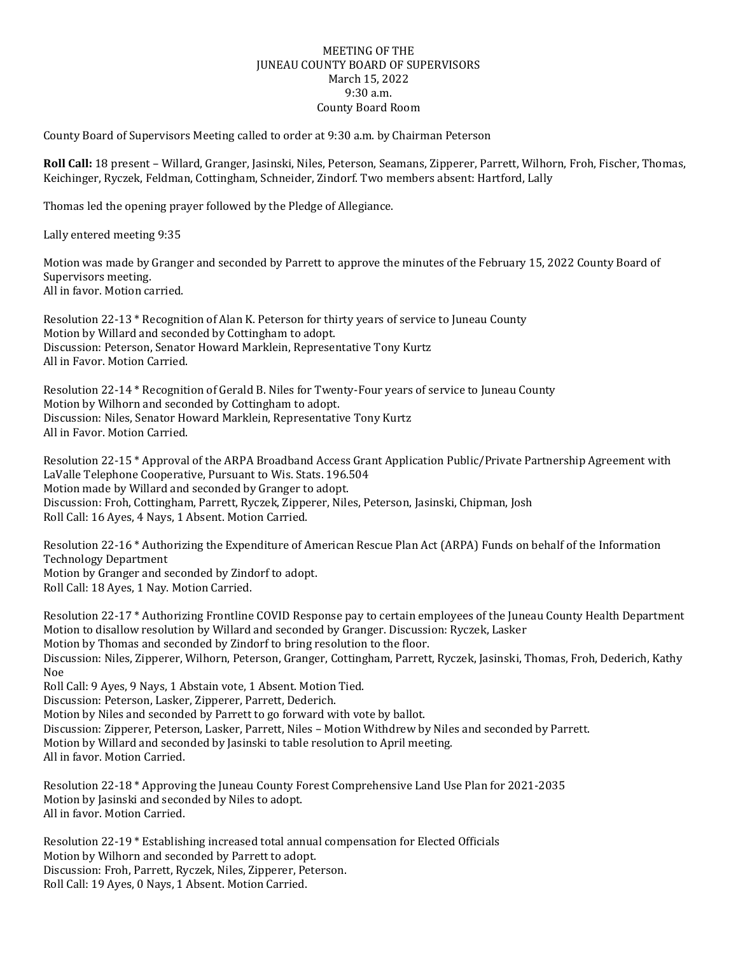## MEETING OF THE JUNEAU COUNTY BOARD OF SUPERVISORS March 15, 2022 9:30 a.m. County Board Room

County Board of Supervisors Meeting called to order at 9:30 a.m. by Chairman Peterson

**Roll Call:** 18 present – Willard, Granger, Jasinski, Niles, Peterson, Seamans, Zipperer, Parrett, Wilhorn, Froh, Fischer, Thomas, Keichinger, Ryczek, Feldman, Cottingham, Schneider, Zindorf. Two members absent: Hartford, Lally

Thomas led the opening prayer followed by the Pledge of Allegiance.

Lally entered meeting 9:35

Motion was made by Granger and seconded by Parrett to approve the minutes of the February 15, 2022 County Board of Supervisors meeting. All in favor. Motion carried.

Resolution 22-13 \* Recognition of Alan K. Peterson for thirty years of service to Juneau County Motion by Willard and seconded by Cottingham to adopt. Discussion: Peterson, Senator Howard Marklein, Representative Tony Kurtz All in Favor. Motion Carried.

Resolution 22-14 \* Recognition of Gerald B. Niles for Twenty-Four years of service to Juneau County Motion by Wilhorn and seconded by Cottingham to adopt. Discussion: Niles, Senator Howard Marklein, Representative Tony Kurtz All in Favor. Motion Carried.

Resolution 22-15 \* Approval of the ARPA Broadband Access Grant Application Public/Private Partnership Agreement with LaValle Telephone Cooperative, Pursuant to Wis. Stats. 196.504 Motion made by Willard and seconded by Granger to adopt. Discussion: Froh, Cottingham, Parrett, Ryczek, Zipperer, Niles, Peterson, Jasinski, Chipman, Josh Roll Call: 16 Ayes, 4 Nays, 1 Absent. Motion Carried.

Resolution 22-16 \* Authorizing the Expenditure of American Rescue Plan Act (ARPA) Funds on behalf of the Information Technology Department Motion by Granger and seconded by Zindorf to adopt. Roll Call: 18 Ayes, 1 Nay. Motion Carried.

Resolution 22-17 \* Authorizing Frontline COVID Response pay to certain employees of the Juneau County Health Department Motion to disallow resolution by Willard and seconded by Granger. Discussion: Ryczek, Lasker Motion by Thomas and seconded by Zindorf to bring resolution to the floor. Discussion: Niles, Zipperer, Wilhorn, Peterson, Granger, Cottingham, Parrett, Ryczek, Jasinski, Thomas, Froh, Dederich, Kathy Noe Roll Call: 9 Ayes, 9 Nays, 1 Abstain vote, 1 Absent. Motion Tied. Discussion: Peterson, Lasker, Zipperer, Parrett, Dederich.

Motion by Niles and seconded by Parrett to go forward with vote by ballot. Discussion: Zipperer, Peterson, Lasker, Parrett, Niles – Motion Withdrew by Niles and seconded by Parrett. Motion by Willard and seconded by Jasinski to table resolution to April meeting. All in favor. Motion Carried.

Resolution 22-18 \* Approving the Juneau County Forest Comprehensive Land Use Plan for 2021-2035 Motion by Jasinski and seconded by Niles to adopt. All in favor. Motion Carried.

Resolution 22-19 \* Establishing increased total annual compensation for Elected Officials Motion by Wilhorn and seconded by Parrett to adopt. Discussion: Froh, Parrett, Ryczek, Niles, Zipperer, Peterson. Roll Call: 19 Ayes, 0 Nays, 1 Absent. Motion Carried.